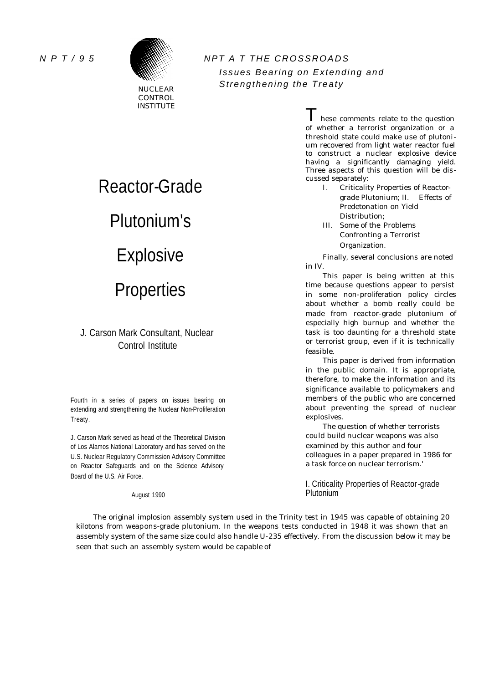

INSTITUTE

# *N P T / 9 5 NPT A T THE CROSSROADS Issues Bearing on Extending and Strengthening the Treaty* **Strengthening the Treaty**

# Reactor-Grade Plutonium's Explosive **Properties**

# J. Carson Mark Consultant, Nuclear Control Institute

Fourth in a series of papers on issues bearing on extending and strengthening the Nuclear Non-Proliferation Treaty.

J. Carson Mark served as head of the Theoretical Division of Los Alamos National Laboratory and has served on the U.S. Nuclear Regulatory Commission Advisory Committee on Reac tor Safeguards and on the Science Advisory Board of the U.S. Air Force.

August 1990

hese comments relate to the question of whether a terrorist organization or a threshold state could make use of plutonium recovered from light water reactor fuel to construct a nuclear explosive device having a significantly damaging yield. Three aspects of this question will be discussed separately:

- I. Criticality Properties of Reactorgrade Plutonium; II. Effects of Predetonation on Yield Distribution;
- III. Some of the Problems Confronting a Terrorist Organization.

Finally, several conclusions are noted in IV.

This paper is being written at this time because questions appear to persist in some non-proliferation policy circles about whether a bomb really could be made from reactor-grade plutonium of especially high burnup and whether the task is too daunting for a threshold state or terrorist group, even if it is technically feasible.

This paper is derived from information in the public domain. It is appropriate, there fore, to make the information and its significance available to policymakers and members of the public who are concerned about preventing the spread of nuclear explosives.

The question of whether terrorists could build nuclear weapons was also examined by this author and four colleagues in a paper prepared in 1986 for a task force on nuclear terrorism.'

I. Criticality Properties of Reactor-grade Plutonium

The original implosion assembly system used in the Trinity test in 1945 was capable of obtaining 20 kilotons from weapons-grade plutonium. In the weapons tests conducted in 1948 it was shown that an assembly system of the same size could also handle U-235 effectively. From the discussion below it may be seen that such an assembly system would be capable of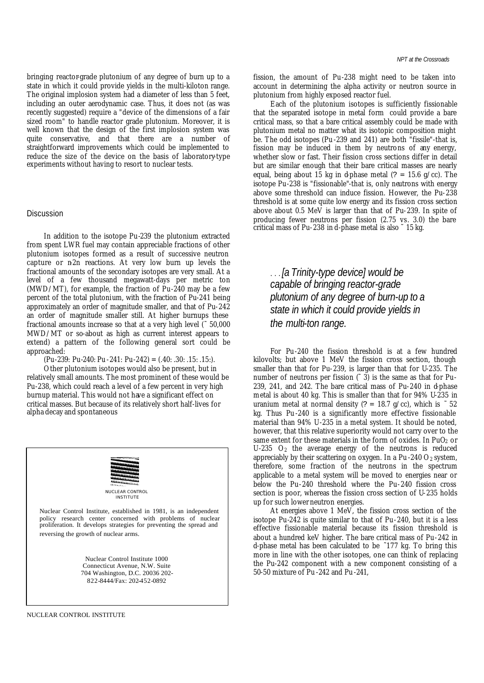bringing reactor-grade plutonium of any degree of burn up to a state in which it could provide yields in the multi-kiloton range. The original implosion system had a diameter of less than 5 feet, including an outer aerodynamic case. Thus, it does not (as was recently suggested) require a "device of the dimensions of a fair sized room" to handle reactor grade plutonium. Moreover, it is well known that the design of the first implosion system was quite conservative, and that there are a number of straightforward improvements which could be implemented to reduce the size of the device on the basis of laboratory-type experiments without having to resort to nuclear tests.

#### **Discussion**

In addition to the isotope Pu-239 the plutonium extracted from spent LWR fuel may contain appreciable fractions of other plutonium isotopes formed as a result of successive neutron capture or n2n reactions. At very low burn up levels the fractional amounts of the secondary isotopes are very small. At a level of a few thousand megawatt-days per metric ton (MWD/MT), for example, the fraction of Pu-240 may be a few percent of the total plutonium, with the fraction of Pu-241 being approximately an order of magnitude smaller, and that of Pu-242 an order of magnitude smaller still. At higher burnups these fractional amounts increase so that at a very high level (˜ 50,000 MWD/MT or so-about as high as current interest appears to extend) a pattern of the following general sort could be approached:

 $(Pu-239: Pu-240: Pu-241: Pu-242) = (.40:. .30:. .15:. .15:$ 

Other plutonium isotopes would also be present, but in relatively small amounts. The most prominent of these would be Pu-238, which could reach a level of a few percent in very high burnup material. This would not have a significant effect on critical masses. But because of its relatively short half-lives for alpha decay and spontaneous



fission, the amount of Pu-238 might need to be taken into account in determining the alpha activity or neutron source in plutonium from highly exposed reactor fuel.

Each of the plutonium isotopes is sufficiently fissionable that the separated isotope in metal form could provide a bare critical mass, so that a bare critical assembly could be made with plutonium metal no matter what its isotopic composition might be. The odd isotopes (Pu -239 and 241) are both "fissile"-that is, fission may be induced in them by neutrons of any energy, whether slow or fast. Their fission cross sections differ in detail but are similar enough that their bare critical masses are nearly equal, being about 15 kg in d-phase metal  $(? = 15.6 \text{ g/cc})$ . The isotope Pu-238 is "fissionable"-that is, only neutrons with energy above some threshold can induce fission. However, the Pu-238 threshold is at some quite low energy and its fission cross section above about 0.5 MeV is larger than that of Pu-239. In spite of producing fewer neutrons per fission (2.75 vs. 3.0) the bare critical mass of Pu-238 in d-phase metal is also ˜ 15 kg.

. . . *[a Trinity-type device] would be capable of bringing reactor-grade plutonium of any degree of burn-up to a state in which it could provide yields in the multi-ton range.*

For Pu -240 the fission threshold is at a few hundred kilovolts; but above 1 MeV the fission cross section, though smaller than that for Pu-239, is larger than that for U-235. The number of neutrons per fission  $(° 3)$  is the same as that for Pu-239, 241, and 242. The bare critical mass of Pu-240 in d-phase metal is about 40 kg. This is smaller than that for 94% U-235 in uranium metal at normal density (? = 18.7 g/cc), which is  $\degree$  52 kg. Thus Pu -240 is a significantly more effective fissionable material than 94% U-235 in a metal system. It should be noted, however, that this relative superiority would not carry over to the same extent for these materials in the form of oxides. In PuO<sub>2</sub> or U-235  $O_2$  the average energy of the neutrons is reduced appreciably by their scattering on oxygen. In a Pu -240  $O_2$  system, therefore, some fraction of the neutrons in the spectrum applicable to a metal system will be moved to energies near or below the Pu-240 threshold where the Pu-240 fission cross section is poor, whereas the fission cross section of U-235 holds up for such lower neutron energies.

At energies above 1 MeV, the fission cross section of the isotope Pu-242 is quite similar to that of Pu-240, but it is a less effective fissionable material because its fission threshold is about a hundred keV higher. The bare critical mass of Pu-242 in d-phase metal has been calculated to be ˜177 kg. To bring this more in line with the other isotopes, one can think of replacing the Pu-242 component with a new component consisting of a 50-50 mixture of Pu -242 and Pu -241,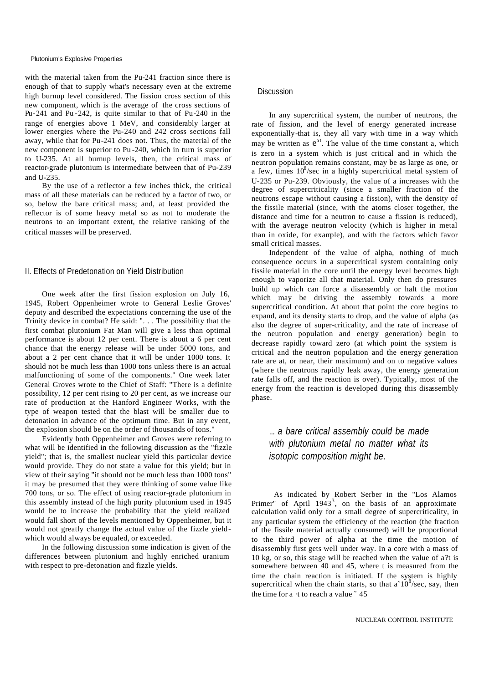#### Plutonium's Explosive Properties

with the material taken from the Pu-241 fraction since there is enough of that to supply what's necessary even at the extreme high burnup level considered. The fission cross section of this new component, which is the average of the cross sections of Pu-241 and Pu -242, is quite similar to that of Pu-240 in the range of energies above 1 MeV, and considerably larger at lower energies where the Pu-240 and 242 cross sections fall away, while that for Pu-241 does not. Thus, the material of the new component is superior to Pu -240, which in turn is superior to U-235. At all burnup levels, then, the critical mass of reactor-grade plutonium is intermediate between that of Pu-239 and U-235.

By the use of a reflector a few inches thick, the critical mass of all these materials can be reduced by a factor of two, or so, below the bare critical mass; and, at least provided the reflector is of some heavy metal so as not to moderate the neutrons to an important extent, the relative ranking of the critical masses will be preserved.

## II. Effects of Predetonation on Yield Distribution

One week after the first fission explosion on July 16, 1945, Robert Oppenheimer wrote to General Leslie Groves' deputy and described the expectations concerning the use of the Trinity device in combat? He said: ". . . The possibility that the first combat plutonium Fat Man will give a less than optimal performance is about 12 per cent. There is about a 6 per cent chance that the energy release will be under 5000 tons, and about a 2 per cent chance that it will be under 1000 tons. It should not be much less than 1000 tons unless there is an actual malfunctioning of some of the components." One week later General Groves wrote to the Chief of Staff: "There is a definite possibility, 12 per cent rising to 20 per cent, as we increase our rate of production at the Hanford Engineer Works, with the type of weapon tested that the blast will be smaller due to detonation in advance of the optimum time. But in any event, the explosion should be on the order of thousands of tons."

Evidently both Oppenheimer and Groves were referring to what will be identified in the following discussion as the "fizzle yield"; that is, the smallest nuclear yield this particular device would provide. They do not state a value for this yield; but in view of their saying "it should not be much less than 1000 tons" it may be presumed that they were thinking of some value like 700 tons, or so. The effect of using reactor-grade plutonium in this assembly instead of the high purity plutonium used in 1945 would be to increase the probability that the yield realized would fall short of the levels mentioned by Oppenheimer, but it would not greatly change the actual value of the fizzle yieldwhich would always be equaled, or exceeded.

In the following discussion some indication is given of the differences between plutonium and highly enriched uranium with respect to pre-detonation and fizzle yields.

#### **Discussion**

In any supercritical system, the number of neutrons, the rate of fission, and the level of energy generated increase exponentially-that is, they all vary with time in a way which may be written as  $e^{at}$ . The value of the time constant a, which is zero in a system which is just critical and in which the neutron population remains constant, may be as large as one, or a few, times  $10^8$ /sec in a highly supercritical metal system of U-235 or Pu-239. Obviously, the value of a increases with the degree of supercriticality (since a smaller fraction of the neutrons escape without causing a fission), with the density of the fissile material (since, with the atoms closer together, the distance and time for a neutron to cause a fission is reduced), with the average neutron velocity (which is higher in metal than in oxide, for example), and with the factors which favor small critical masses.

Independent of the value of alpha, nothing of much consequence occurs in a supercritical system containing only fissile material in the core until the energy level becomes high enough to vaporize all that material. Only then do pressures build up which can force a disassembly or halt the motion which may be driving the assembly towards a more supercritical condition. At about that point the core begins to expand, and its density starts to drop, and the value of alpha (as also the degree of super-criticality, and the rate of increase of the neutron population and energy generation) begin to decrease rapidly toward zero (at which point the system is critical and the neutron population and the energy generation rate are at, or near, their maximum) and on to negative values (where the neutrons rapidly leak away, the energy generation rate falls off, and the reaction is over). Typically, most of the energy from the reaction is developed during this disassembly phase.

... *a bare critical assembly could be made with plutonium metal no matter what its isotopic composition might be.*

As indicated by Robert Serber in the "Los Alamos Primer" of April  $1943^3$ , on the basis of an approximate calculation valid only for a small degree of supercriticality, in any particular system the efficiency of the reaction (the fraction of the fissile material actually consumed) will be proportional to the third power of alpha at the time the motion of disassembly first gets well under way. In a core with a mass of 10 kg, or so, this stage will be reached when the value of a?t is somewhere between 40 and 45, where t is measured from the time the chain reaction is initiated. If the system is highly supercritical when the chain starts, so that  $a^10^8$ /sec, say, then the time for a  $\cdot$ t to reach a value  $\degree$  45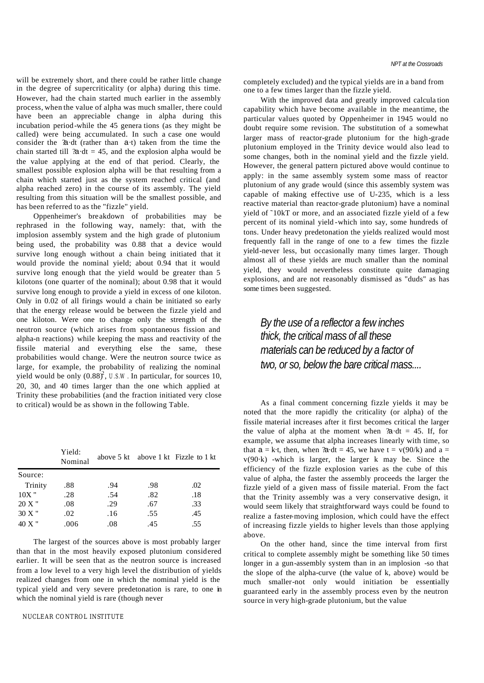will be extremely short, and there could be rather little change in the degree of supercriticality (or alpha) during this time. However, had the chain started much earlier in the assembly process, when the value of alpha was much smaller, there could have been an appreciable change in alpha during this incubation period-while the 45 genera tions (as they might be called) were being accumulated. In such a case one would consider the ?a·dt (rather than a·t) taken from the time the chain started till  $2a \cdot dt = 45$ , and the explosion alpha would be the value applying at the end of that period. Clearly, the smallest possible explosion alpha will be that resulting from a chain which started just as the system reached critical (and alpha reached zero) in the course of its assembly. The yield resulting from this situation will be the smallest possible, and has been referred to as the "fizzle" yield.

Oppenheimer's breakdown of probabilities may be rephrased in the following way, namely: that, with the implosion assembly system and the high grade of plutonium being used, the probability was 0.88 that a device would survive long enough without a chain being initiated that it would provide the nominal yield; about 0.94 that it would survive long enough that the yield would be greater than 5 kilotons (one quarter of the nominal); about 0.98 that it would survive long enough to provide a yield in excess of one kiloton. Only in 0.02 of all firings would a chain be initiated so early that the energy release would be between the fizzle yield and one kiloton. Were one to change only the strength of the neutron source (which arises from spontaneous fission and alpha-n reactions) while keeping the mass and reactivity of the fissile material and everything else the same, these probabilities would change. Were the neutron source twice as large, for example, the probability of realizing the nominal yield would be only  $(0.88)^2$ , *U.S.W*. In particular, for sources 10, 20, 30, and 40 times larger than the one which applied at Trinity these probabilities (and the fraction initiated very close to critical) would be as shown in the following Table.

|          | Yield:<br>Nominal |     |     | above $5 \text{ kt}$ above $1 \text{ kt}$ Fizzle to $1 \text{ kt}$ |
|----------|-------------------|-----|-----|--------------------------------------------------------------------|
| Source:  |                   |     |     |                                                                    |
| Trinity  | .88               | .94 | .98 | .02                                                                |
| $10X$ "  | .28               | .54 | .82 | .18                                                                |
| $20 X$ " | .08               | .29 | .67 | .33                                                                |
| $30 X$ " | .02               | .16 | .55 | .45                                                                |
| 40 X "   | .006              | .08 | .45 | .55                                                                |

The largest of the sources above is most probably larger than that in the most heavily exposed plutonium considered earlier. It will be seen that as the neutron source is increased from a low level to a very high level the distribution of yields realized changes from one in which the nominal yield is the typical yield and very severe predetonation is rare, to one in which the nominal yield is rare (though never

#### NUCLEAR CONTROL INSTITUTE

completely excluded) and the typical yields are in a band from one to a few times larger than the fizzle yield.

With the improved data and greatly improved calcula tion capability which have become available in the meantime, the particular values quoted by Oppenheimer in 1945 would no doubt require some revision. The substitution of a somewhat larger mass of reactor-grade plutonium for the high-grade plutonium employed in the Trinity device would also lead to some changes, both in the nominal yield and the fizzle yield. However, the general pattern pictured above would continue to apply: in the same assembly system some mass of reactor plutonium of any grade would (since this assembly system was capable of making effective use of U-235, which is a less reactive material than reactor-grade plutonium) have a nominal yield of ˜10kT or more, and an associated fizzle yield of a few percent of its nominal yield -which into say, some hundreds of tons. Under heavy predetonation the yields realized would most frequently fall in the range of one to a few times the fizzle yield-never less, but occasionally many times larger. Though almost all of these yields are much smaller than the nominal yield, they would nevertheless constitute quite damaging explosions, and are not reasonably dismissed as "duds" as has some times been suggested.

*By the use of a reflector a few inches thick, the critical mass of all these materials can be reduced by a factor of two, or so, below the bare critical mass....*

As a final comment concerning fizzle yields it may be noted that the more rapidly the criticality (or alpha) of the fissile material increases after it first becomes critical the larger the value of alpha at the moment when  $2a \cdot dt = 45$ . If, for example, we assume that alpha increases linearly with time, so that  $a = k \cdot t$ , then, when  $2a \cdot dt = 45$ , we have  $t = v(90/k)$  and  $a =$ v(90·k) -which is larger, the larger k may be. Since the efficiency of the fizzle explosion varies as the cube of this value of alpha, the faster the assembly proceeds the larger the fizzle yield of a given mass of fissile material. From the fact that the Trinity assembly was a very conservative design, it would seem likely that straightforward ways could be found to realize a faster-moving implosion, which could have the effect of increasing fizzle yields to higher levels than those applying above.

On the other hand, since the time interval from first critical to complete assembly might be something like 50 times longer in a gun-assembly system than in an implosion -so that the slope of the alpha-curve (the value of k, above) would be much smaller-not only would initiation be essentially guaranteed early in the assembly process even by the neutron source in very high-grade plutonium, but the value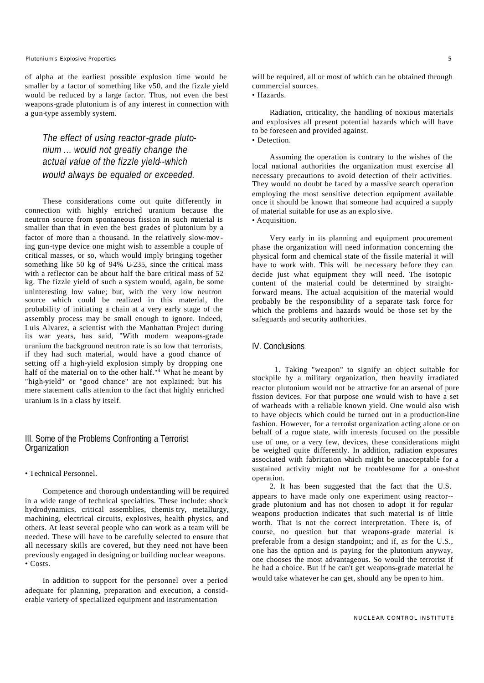#### *Plutonium's Explosive Properties 5*

of alpha at the earliest possible explosion time would be smaller by a factor of something like v50, and the fizzle yield would be reduced by a large factor. Thus, not even the best weapons-grade plutonium is of any interest in connection with a gun-type assembly system.

# *The effect of using reactor-grade plutonium ... would not greatly change the actual value of the fizzle yield--which would always be equaled or exceeded.*

These considerations come out quite differently in connection with highly enriched uranium because the neutron source from spontaneous fission in such material is smaller than that in even the best grades of plutonium by a factor of more than a thousand. In the relatively slow-moving gun-type device one might wish to assemble a couple of critical masses, or so, which would imply bringing together something like  $50 \text{ kg}$  of  $94\%$  U-235, since the critical mass with a reflector can be about half the bare critical mass of 52 kg. The fizzle yield of such a system would, again, be some uninteresting low value; but, with the very low neutron source which could be realized in this material, the probability of initiating a chain at a very early stage of the assembly process may be small enough to ignore. Indeed, Luis Alvarez, a scientist with the Manhattan Project during its war years, has said, "With modern weapons-grade uranium the background neutron rate is so low that terrorists, if they had such material, would have a good chance of setting off a high-yield explosion simply by dropping one half of the material on to the other half."<sup>4</sup> What he meant by "high-yield" or "good chance" are not explained; but his mere statement calls attention to the fact that highly enriched uranium is in a class by itself.

## III. Some of the Problems Confronting a Terrorist **Organization**

• Technical Personnel.

Competence and thorough understanding will be required in a wide range of technical specialties. These include: shock hydrodynamics, critical assemblies, chemis try, metallurgy, machining, electrical circuits, explosives, health physics, and others. At least several people who can work as a team will be needed. These will have to be carefully selected to ensure that all necessary skills are covered, but they need not have been previously engaged in designing or building nuclear weapons. • Costs.

In addition to support for the personnel over a period adequate for planning, preparation and execution, a considerable variety of specialized equipment and instrumentation

will be required, all or most of which can be obtained through commercial sources.

## • Hazards.

Radiation, criticality, the handling of noxious materials and explosives all present potential hazards which will have to be foreseen and provided against.

# • Detection.

Assuming the operation is contrary to the wishes of the local national authorities the organization must exercise all necessary precautions to avoid detection of their activities. They would no doubt be faced by a massive search operation employing the most sensitive detection equipment available once it should be known that someone had acquired a supply of material suitable for use as an explo sive. • Acquisition.

Very early in its planning and equipment procurement phase the organization will need information concerning the physical form and chemical state of the fissile material it will have to work with. This will be necessary before they can decide just what equipment they will need. The isotopic content of the material could be determined by straightforward means. The actual acquisition of the material would probably be the responsibility of a separate task force for which the problems and hazards would be those set by the safeguards and security authorities.

### IV. Conclusions

1. Taking "weapon" to signify an object suitable for stockpile by a military organization, then heavily irradiated reactor plutonium would not be attractive for an arsenal of pure fission devices. For that purpose one would wish to have a set of warheads with a reliable known yield. One would also wish to have objects which could be turned out in a production-line fashion. However, for a terrorist organization acting alone or on behalf of a rogue state, with interests focused on the possible use of one, or a very few, devices, these considerations might be weighed quite differently. In addition, radiation exposures associated with fabrication which might be unacceptable for a sustained activity might not be troublesome for a one-shot operation.

2. It has been suggested that the fact that the U.S. appears to have made only one experiment using reactor- grade plutonium and has not chosen to adopt it for regular weapons production indicates that such material is of little worth. That is not the correct interpretation. There is, of course, no question but that weapons-grade material is preferable from a design standpoint; and if, as for the U.S., one has the option and is paying for the plutonium anyway, one chooses the most advantageous. So would the terrorist if he had a choice. But if he can't get weapons-grade material he would take whatever he can get, should any be open to him.